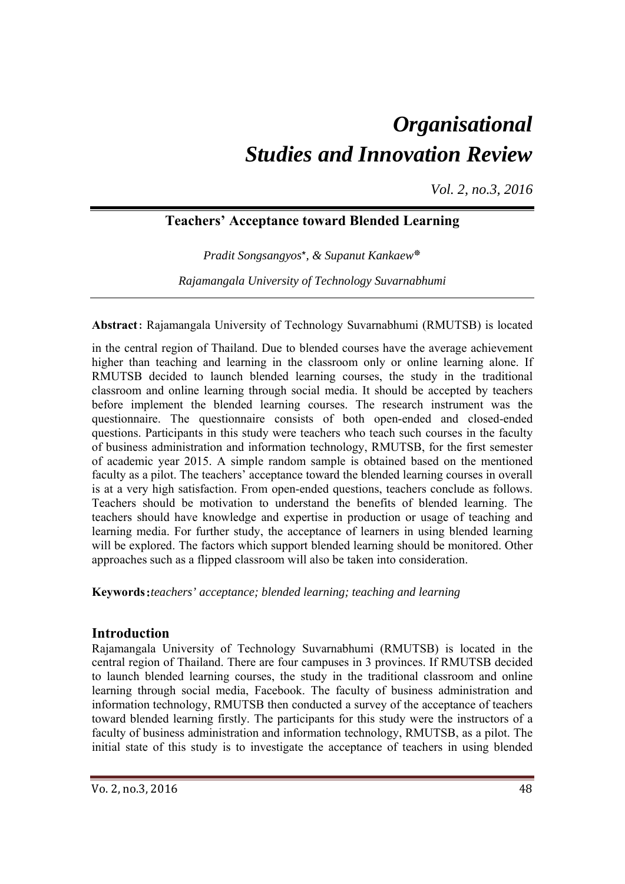# *Organisational Studies and Innovation Review*

*Vol. 2, no.3, 2016*

# **Teachers' Acceptance toward Blended Learning**

*Pradit Songsangyos*\**, & Supanut Kankaew*\*

*Rajamangala University of Technology Suvarnabhumi*

## **Abstract**: Rajamangala University of Technology Suvarnabhumi (RMUTSB) is located

in the central region of Thailand. Due to blended courses have the average achievement higher than teaching and learning in the classroom only or online learning alone. If RMUTSB decided to launch blended learning courses, the study in the traditional classroom and online learning through social media. It should be accepted by teachers before implement the blended learning courses. The research instrument was the questionnaire. The questionnaire consists of both open-ended and closed-ended questions. Participants in this study were teachers who teach such courses in the faculty of business administration and information technology, RMUTSB, for the first semester of academic year 2015. A simple random sample is obtained based on the mentioned faculty as a pilot. The teachers' acceptance toward the blended learning courses in overall is at a very high satisfaction. From open-ended questions, teachers conclude as follows. Teachers should be motivation to understand the benefits of blended learning. The teachers should have knowledge and expertise in production or usage of teaching and learning media. For further study, the acceptance of learners in using blended learning will be explored. The factors which support blended learning should be monitored. Other approaches such as a flipped classroom will also be taken into consideration.

**Keywords**:*teachers' acceptance; blended learning; teaching and learning*

## **Introduction**

Rajamangala University of Technology Suvarnabhumi (RMUTSB) is located in the central region of Thailand. There are four campuses in 3 provinces. If RMUTSB decided to launch blended learning courses, the study in the traditional classroom and online learning through social media, Facebook. The faculty of business administration and information technology, RMUTSB then conducted a survey of the acceptance of teachers toward blended learning firstly. The participants for this study were the instructors of a faculty of business administration and information technology, RMUTSB, as a pilot. The initial state of this study is to investigate the acceptance of teachers in using blended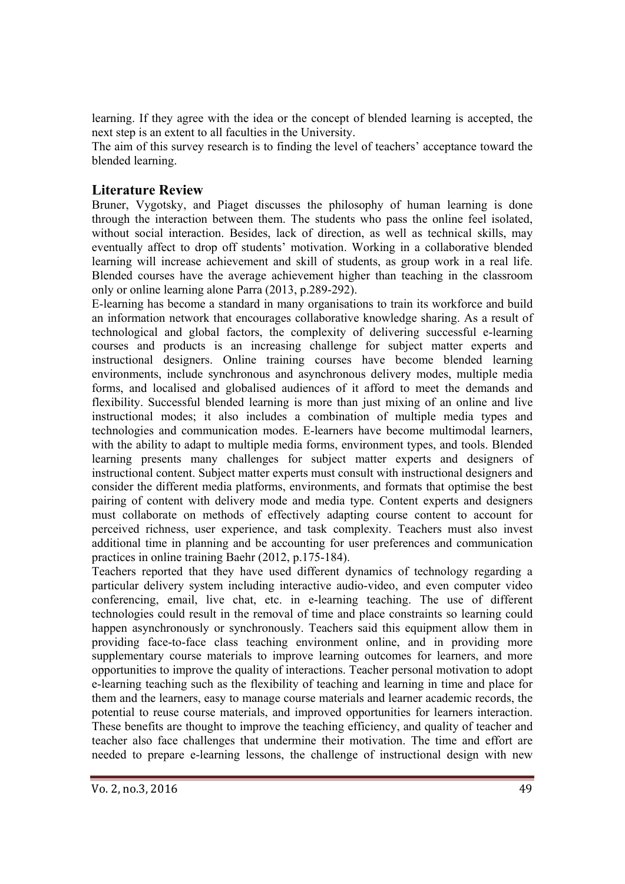learning. If they agree with the idea or the concept of blended learning is accepted, the next step is an extent to all faculties in the University.

The aim of this survey research is to finding the level of teachers' acceptance toward the blended learning.

## **Literature Review**

Bruner, Vygotsky, and Piaget discusses the philosophy of human learning is done through the interaction between them. The students who pass the online feel isolated, without social interaction. Besides, lack of direction, as well as technical skills, may eventually affect to drop off students' motivation. Working in a collaborative blended learning will increase achievement and skill of students, as group work in a real life. Blended courses have the average achievement higher than teaching in the classroom only or online learning alone Parra (2013, p.289-292).

E-learning has become a standard in many organisations to train its workforce and build an information network that encourages collaborative knowledge sharing. As a result of technological and global factors, the complexity of delivering successful e-learning courses and products is an increasing challenge for subject matter experts and instructional designers. Online training courses have become blended learning environments, include synchronous and asynchronous delivery modes, multiple media forms, and localised and globalised audiences of it afford to meet the demands and flexibility. Successful blended learning is more than just mixing of an online and live instructional modes; it also includes a combination of multiple media types and technologies and communication modes. E-learners have become multimodal learners, with the ability to adapt to multiple media forms, environment types, and tools. Blended learning presents many challenges for subject matter experts and designers of instructional content. Subject matter experts must consult with instructional designers and consider the different media platforms, environments, and formats that optimise the best pairing of content with delivery mode and media type. Content experts and designers must collaborate on methods of effectively adapting course content to account for perceived richness, user experience, and task complexity. Teachers must also invest additional time in planning and be accounting for user preferences and communication practices in online training Baehr (2012, p.175-184).

Teachers reported that they have used different dynamics of technology regarding a particular delivery system including interactive audio-video, and even computer video conferencing, email, live chat, etc. in e-learning teaching. The use of different technologies could result in the removal of time and place constraints so learning could happen asynchronously or synchronously. Teachers said this equipment allow them in providing face-to-face class teaching environment online, and in providing more supplementary course materials to improve learning outcomes for learners, and more opportunities to improve the quality of interactions. Teacher personal motivation to adopt e-learning teaching such as the flexibility of teaching and learning in time and place for them and the learners, easy to manage course materials and learner academic records, the potential to reuse course materials, and improved opportunities for learners interaction. These benefits are thought to improve the teaching efficiency, and quality of teacher and teacher also face challenges that undermine their motivation. The time and effort are needed to prepare e-learning lessons, the challenge of instructional design with new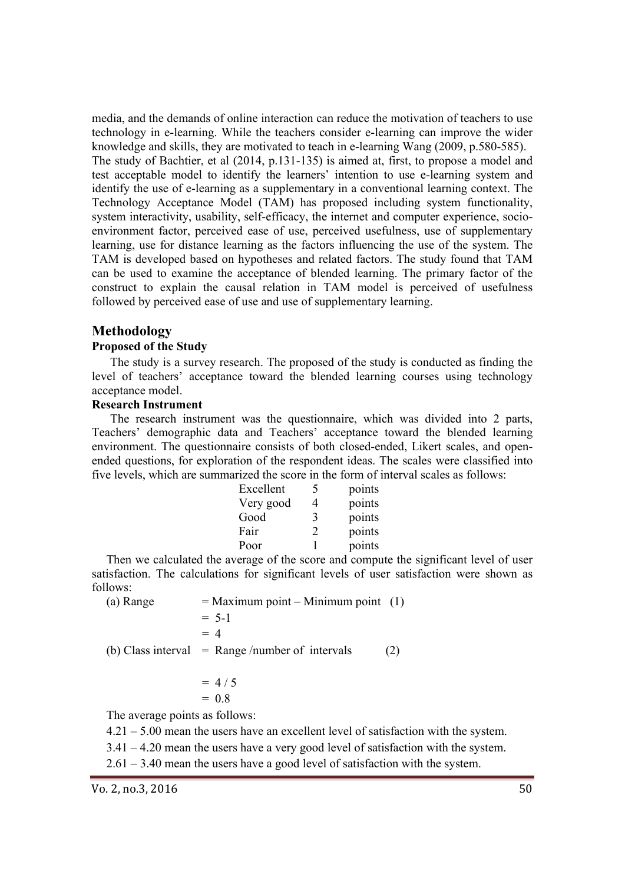media, and the demands of online interaction can reduce the motivation of teachers to use technology in e-learning. While the teachers consider e-learning can improve the wider knowledge and skills, they are motivated to teach in e-learning Wang (2009, p.580-585). The study of Bachtier, et al (2014, p.131-135) is aimed at, first, to propose a model and test acceptable model to identify the learners' intention to use e-learning system and identify the use of e-learning as a supplementary in a conventional learning context. The Technology Acceptance Model (TAM) has proposed including system functionality, system interactivity, usability, self-efficacy, the internet and computer experience, socioenvironment factor, perceived ease of use, perceived usefulness, use of supplementary learning, use for distance learning as the factors influencing the use of the system. The TAM is developed based on hypotheses and related factors. The study found that TAM can be used to examine the acceptance of blended learning. The primary factor of the construct to explain the causal relation in TAM model is perceived of usefulness followed by perceived ease of use and use of supplementary learning.

## **Methodology**

#### **Proposed of the Study**

The study is a survey research. The proposed of the study is conducted as finding the level of teachers' acceptance toward the blended learning courses using technology acceptance model.

#### **Research Instrument**

The research instrument was the questionnaire, which was divided into 2 parts, Teachers' demographic data and Teachers' acceptance toward the blended learning environment. The questionnaire consists of both closed-ended, Likert scales, and openended questions, for exploration of the respondent ideas. The scales were classified into five levels, which are summarized the score in the form of interval scales as follows:

| Excellent | points |
|-----------|--------|
| Very good | points |
| Good      | points |
| Fair      | points |
| Poor      | points |

Then we calculated the average of the score and compute the significant level of user satisfaction. The calculations for significant levels of user satisfaction were shown as follows:

(a) Range  $=$  Maximum point – Minimum point (1)

 $= 5-1$  $= 4$ (b) Class interval = Range /number of intervals (2)

$$
= 4/5
$$

$$
= 0.8
$$

The average points as follows:

 $4.21 - 5.00$  mean the users have an excellent level of satisfaction with the system.

3.41 – 4.20 mean the users have a very good level of satisfaction with the system.

2.61 – 3.40 mean the users have a good level of satisfaction with the system.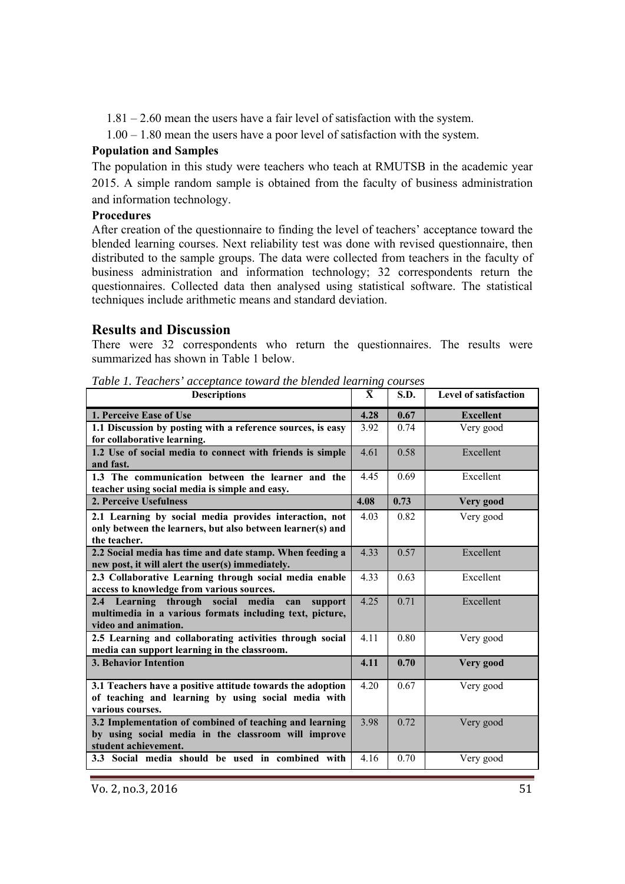1.81 – 2.60 mean the users have a fair level of satisfaction with the system.

1.00 – 1.80 mean the users have a poor level of satisfaction with the system.

### **Population and Samples**

The population in this study were teachers who teach at RMUTSB in the academic year 2015. A simple random sample is obtained from the faculty of business administration and information technology.

## **Procedures**

After creation of the questionnaire to finding the level of teachers' acceptance toward the blended learning courses. Next reliability test was done with revised questionnaire, then distributed to the sample groups. The data were collected from teachers in the faculty of business administration and information technology; 32 correspondents return the questionnaires. Collected data then analysed using statistical software. The statistical techniques include arithmetic means and standard deviation.

## **Results and Discussion**

There were 32 correspondents who return the questionnaires. The results were summarized has shown in Table 1 below.

| <b>Descriptions</b>                                                                                                                        | $\bar{\mathbf{X}}$ | S.D. | <b>Level of satisfaction</b> |
|--------------------------------------------------------------------------------------------------------------------------------------------|--------------------|------|------------------------------|
| 1. Perceive Ease of Use                                                                                                                    | 4.28               | 0.67 | <b>Excellent</b>             |
| 1.1 Discussion by posting with a reference sources, is easy<br>for collaborative learning.                                                 | 3.92               | 0.74 | Very good                    |
| 1.2 Use of social media to connect with friends is simple<br>and fast.                                                                     | 4.61               | 0.58 | Excellent                    |
| 1.3 The communication between the learner and the<br>teacher using social media is simple and easy.                                        | 4.45               | 0.69 | Excellent                    |
| 2. Perceive Usefulness                                                                                                                     | 4.08               | 0.73 | Very good                    |
| 2.1 Learning by social media provides interaction, not<br>only between the learners, but also between learner(s) and<br>the teacher.       | 4.03               | 0.82 | Very good                    |
| 2.2 Social media has time and date stamp. When feeding a<br>new post, it will alert the user(s) immediately.                               | 4.33               | 0.57 | Excellent                    |
| 2.3 Collaborative Learning through social media enable<br>access to knowledge from various sources.                                        | 4.33               | 0.63 | Excellent                    |
| 2.4 Learning through social<br>media<br>can<br>support<br>multimedia in a various formats including text, picture,<br>video and animation. | 4.25               | 0.71 | Excellent                    |
| 2.5 Learning and collaborating activities through social<br>media can support learning in the classroom.                                   | 4.11               | 0.80 | Very good                    |
| <b>3. Behavior Intention</b>                                                                                                               | 4.11               | 0.70 | Very good                    |
| 3.1 Teachers have a positive attitude towards the adoption<br>of teaching and learning by using social media with<br>various courses.      | 4.20               | 0.67 | Very good                    |
| 3.2 Implementation of combined of teaching and learning<br>by using social media in the classroom will improve<br>student achievement.     | 3.98               | 0.72 | Very good                    |
| 3.3 Social media should be used in combined with                                                                                           | 4.16               | 0.70 | Very good                    |

*Table 1. Teachers' acceptance toward the blended learning courses*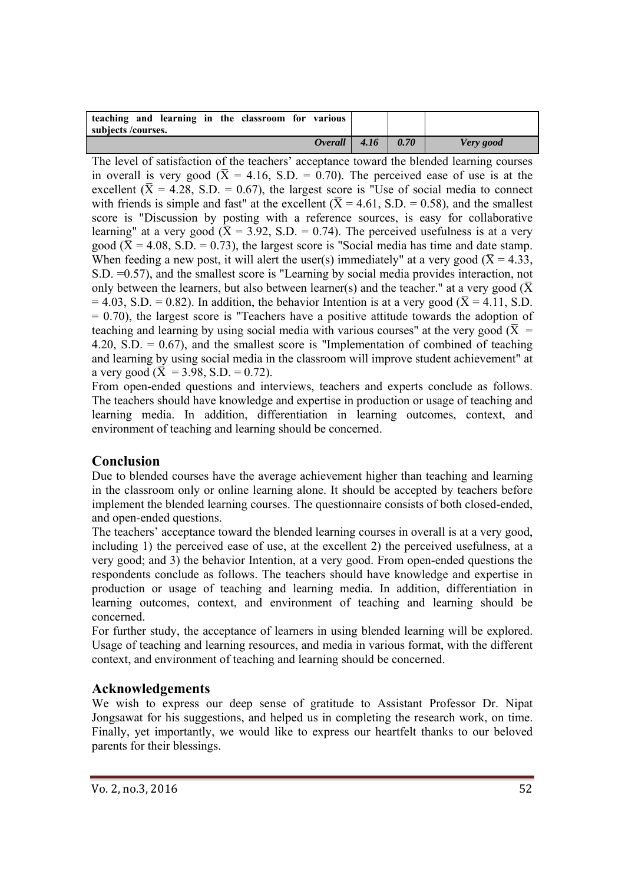| teaching and learning in the classroom for various<br>subjects/courses. |      |      |           |
|-------------------------------------------------------------------------|------|------|-----------|
| <i><b>Overall</b></i>                                                   | 4.16 | 0.70 | Very good |

The level of satisfaction of the teachers' acceptance toward the blended learning courses in overall is very good ( $\bar{X} = 4.16$ , S.D. = 0.70). The perceived ease of use is at the excellent ( $\bar{X}$  = 4.28, S.D. = 0.67), the largest score is "Use of social media to connect with friends is simple and fast" at the excellent ( $\bar{X} = 4.61$ , S.D. = 0.58), and the smallest score is "Discussion by posting with a reference sources, is easy for collaborative learning" at a very good ( $\bar{X} = 3.92$ , S.D. = 0.74). The perceived usefulness is at a very good ( $\bar{X}$  = 4.08, S.D. = 0.73), the largest score is "Social media has time and date stamp. When feeding a new post, it will alert the user(s) immediately" at a very good ( $\bar{X}$  = 4.33, S.D. =0.57), and the smallest score is "Learning by social media provides interaction, not only between the learners, but also between learner(s) and the teacher." at a very good ( $\bar{X}$  $= 4.03$ , S.D. = 0.82). In addition, the behavior Intention is at a very good ( $\overline{X} = 4.11$ , S.D.  $= 0.70$ ), the largest score is "Teachers have a positive attitude towards the adoption of teaching and learning by using social media with various courses" at the very good ( $\bar{X}$  = 4.20, S.D.  $= 0.67$ ), and the smallest score is "Implementation of combined of teaching and learning by using social media in the classroom will improve student achievement" at a very good ( $\bar{X} = 3.98$ , S.D. = 0.72).

From open-ended questions and interviews, teachers and experts conclude as follows. The teachers should have knowledge and expertise in production or usage of teaching and learning media. In addition, differentiation in learning outcomes, context, and environment of teaching and learning should be concerned.

# **Conclusion**

Due to blended courses have the average achievement higher than teaching and learning in the classroom only or online learning alone. It should be accepted by teachers before implement the blended learning courses. The questionnaire consists of both closed-ended, and open-ended questions.

The teachers' acceptance toward the blended learning courses in overall is at a very good, including 1) the perceived ease of use, at the excellent 2) the perceived usefulness, at a very good; and 3) the behavior Intention, at a very good. From open-ended questions the respondents conclude as follows. The teachers should have knowledge and expertise in production or usage of teaching and learning media. In addition, differentiation in learning outcomes, context, and environment of teaching and learning should be concerned.

For further study, the acceptance of learners in using blended learning will be explored. Usage of teaching and learning resources, and media in various format, with the different context, and environment of teaching and learning should be concerned.

# **Acknowledgements**

We wish to express our deep sense of gratitude to Assistant Professor Dr. Nipat Jongsawat for his suggestions, and helped us in completing the research work, on time. Finally, yet importantly, we would like to express our heartfelt thanks to our beloved parents for their blessings.